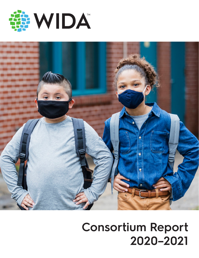



# **Consortium Report 2020–2021**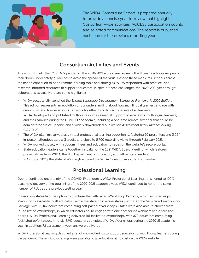

The WIDA Consortium Report is prepared annually to provide a concise year-in-review that highlights Consortium-wide activities, ACCESS participation counts, and selected communications. The report is published each June for the previous reporting year.

#### **Consortium Activities and Events**

A few months into the COVID-19 pandemic, the 2020–2021 school year kicked off with many schools reopening their doors under safety guidelines to avoid the spread of the virus. Despite these measures, schools across the nation continued to need remote learning tools and strategies. WIDA responded with practice- and research-informed resources to support educators. In spite of these challenges, the 2020–2021 year brought celebrations as well. Here are some highlights:

- WIDA successfully launched the *English Language Development Standards Framework, 2020 Edition.*  This edition represents an evolution of our understanding about how multilingual learners engage with curriculum, and how educators can work together to build on the assets of all learners.
- WIDA developed and published multiple resources aimed at supporting educators, multilingual learners, and their families during the COVID-19 pandemic, including a one-time remote screener that could be administered via cell phone, and a widely downloaded publication *Assessment Best Practices during COVID-19.*
- The WIDA eSummit served as a virtual professional learning opportunity, featuring 20 presenters and 3,054 in-person attendees across 3 weeks and close to 5,700 recording views through February 2021.
- WIDA worked closely with subcommittees and educators to redesign the website's secure portal.
- State education leaders came together virtually for the 2021 WIDA Board Meeting, which featured presentations from WIDA, the U.S. Department of Education, and fellow state leaders.
- In October 2020, the state of Washington joined the WIDA Consortium as the 41st member.

## **Professional Learning**

Due to continued uncertainty of the COVID-19 pandemic, WIDA Professional Learning transitioned to 100% eLearning delivery at the beginning of the 2020–2021 academic year. WIDA continued to honor the same number of PLUs as the previous testing year.

Consortium states had the option to purchase the Self-Paced eWorkshop Package, which included eight eWorkshops available to all educators within the state. Thirty-nine states purchased the Self-Paced eWorkshop Package, with 18,042 educators completing self-paced eWorkshops. States were also able to choose from 13 Facilitated eWorkshops, in which educators could engage with one another via webinars and discussion boards. WIDA Professional Learning delivered 151 facilitated eWorkshops, with 870 educators completing facilitated eWorkshops. In total, 18,912 educators completed WIDA eWorkshops during the 2020-21 academic year. In addition, 72 assessment webinars were delivered.

WIDA Professional Learning designed a set of micro-offerings to support educators of multilingual learners during the pandemic. These micro-offerings were available to all educators at no cost on the WIDA website.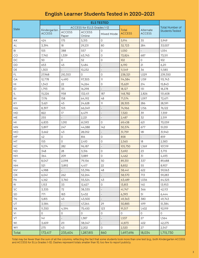## **English Learner Students Tested in 2020–2021**

|                        |                               |                                    |                         | <b>ELS TESTED</b>        |                        |                            |                        |  |
|------------------------|-------------------------------|------------------------------------|-------------------------|--------------------------|------------------------|----------------------------|------------------------|--|
|                        |                               | <b>ACCESS for ELLS Grades 1-12</b> |                         |                          |                        |                            | <b>Total Number of</b> |  |
| <b>State</b>           | Kindergarten<br><b>ACCESS</b> | <b>ACCESS</b><br>Paper             | <b>ACCESS</b><br>Online | Mixed Mode               | Total<br><b>ACCESS</b> | Alternate<br><b>ACCESS</b> | <b>Students Tested</b> |  |
| AK                     | 424                           | 175                                | 5,315                   | 0                        | 5,914                  | 35                         | 5,949                  |  |
| $\mathsf{AL}$          | 3,394                         | 18                                 | 29,231                  | 80                       | 32,723                 | 284                        | 33,007                 |  |
| BI                     | 105                           | 388                                | 557                     | 0                        | 1,050                  |                            | 1,054                  |  |
| CO                     | 7,740                         | 1,339                              | 63,745                  | 0                        | 72,824                 | 687                        | 73,511                 |  |
| DC                     | 50                            | $\mathsf 0$                        | 52                      | 0                        | 102                    | $\mathsf{O}$               | 102                    |  |
| DD                     | 653                           | 45                                 | 5,484                   | $\qquad \qquad -$        | 6,190                  | 21                         | 6,211                  |  |
| DE                     | 1,303                         |                                    | 10,232                  | $\overline{a}$           | 11,549                 | 36                         | 11,585                 |  |
| FL                     | 27,968                        | 210,353                            | 0                       | 0                        | 238,321                | 1,029                      | 239,350                |  |
| GA                     | 12,778                        | 4,490                              | 97,305                  | $\overline{11}$          | 114,584                | 1,159                      | 115,743                |  |
| $\mathsf{H}\mathsf{I}$ | 1,343                         | 22                                 | 14,264                  | 0                        | 15,629                 | 214                        | 15,843                 |  |
| ID                     | 1,793                         | 35                                 | 16,298                  |                          | 18,127                 | 151                        | 18,278                 |  |
| $\mathsf{IL}$          | 15,226                        | 958                                | 132,411                 | 187                      | 148,782                | 2,826                      | 151,608                |  |
| $\sf IN$               | 7,176                         | 158                                | 64,192                  | 48                       | 71,574                 | 1,097                      | 72,671                 |  |
| KY                     | 3,621                         | 45                                 | 24,628                  | $\bar{\rm H}$            | 28,305                 | 286                        | 28,591                 |  |
| MA                     | 8,397                         | 513                                | 66,049                  | $\overline{a}$           | 74,966                 | 1,156                      | 76,122                 |  |
| MD                     | 822                           | 17                                 | 6,479                   | $\overline{a}$           | 7,320                  | 39                         | 7,359                  |  |
| ME                     | 255                           | $\overline{\phantom{a}}$           | 2,221                   | $\overline{\phantom{m}}$ | 2,487                  | 32                         | 2,519                  |  |
| MI                     | 6,835                         | 1,010                              | 61,593                  | 0                        | 69,438                 | 621                        | 70,059                 |  |
| MN                     | 5,897                         | 247                                | 44,088                  | 142                      | 50,374                 | 677                        | 51,051                 |  |
| <b>MO</b>              | 3,662                         | 43                                 | 28,052                  |                          | 31,759                 | 181                        | 31,940                 |  |
| MP                     | 42                            | $\mathsf{O}$                       | 816                     | 0                        | 858                    |                            | 859                    |  |
| MT                     | 155                           | $\mathsf O$                        | 2,410                   | 0                        | 2,565                  | 18                         | 2,583                  |  |
| <b>NC</b>              | 9,274                         | 282                                | 96,187                  | $\overline{a}$           | 105,750                | 1,369                      | 107,119                |  |
| ND                     | 348                           | 28                                 | 3,316                   | 0                        | 3,692                  | 23                         | 3,715                  |  |
| <b>NH</b>              | 364                           | 209                                | 3,889                   | 0                        | 4,462                  | 31                         | 4,493                  |  |
| $\mathsf{N}\mathsf{J}$ | 8,047                         | 2,098                              | 79,156                  | 50                       | 89,351                 | 337                        | 89,688                 |  |
| <b>NM</b>              | 521                           | 3,892                              | 4,417                   | 22                       | 8,852                  | 55                         | 8,907                  |  |
| <b>NV</b>              | 4,988                         |                                    | 53,396                  | 48                       | 58,441                 | 622                        | 59,063                 |  |
| OK                     | 6,041                         | 262                                | 52,264                  | $\overline{\phantom{m}}$ | 58,570                 | 713                        | 59,283                 |  |
| PA                     | 4,162                         | 3,760                              | 55,524                  | 43                       | 63,489                 | 1,036                      | 64,525                 |  |
| R <sub>l</sub>         | 1,153                         | 33                                 | 12,627                  | $\mathsf{O}\xspace$      | 13,813                 | 140                        | 13,953                 |  |
| $\sf SC$               | 3,335                         | $72\,$                             | 38,335                  | $\overline{\phantom{0}}$ | 41,747                 | 366                        | 42,113                 |  |
| SD                     | 771                           | 183                                | 5,432                   | $\bar{\phantom{a}}$      | 6,393                  | 51                         | 6,444                  |  |
| TN                     | 5,815                         | 45                                 | 43,500                  | $\qquad \qquad -$        | 49,363                 | 380                        | 49,743                 |  |
| UT                     | 3,584                         |                                    | 47,264                  | 29                       | 50,885                 | 499                        | 51,384                 |  |
| VA                     | 11,350                        | 4,594                              | 75,450                  | 123                      | 91,517                 | 1,402                      | 92,919                 |  |
| $\mathsf{VI}$          | $\mathsf{O}\xspace$           | $\mathsf{O}$                       | 0                       | $\mathsf{O}$             | $\mathsf{O}\xspace$    | 0                          | $\mathsf{O}\xspace$    |  |
| VT                     | 4                             |                                    | 1,387                   | $\qquad \qquad -$        | 1,537                  | 27                         | 1,564                  |  |
| WI                     | 3,609                         | 211                                | 38,047                  | $\qquad \qquad -$        | 41,873                 | 402                        | 42,275                 |  |
| <b>WY</b>              | 275                           | 43                                 | 2,202                   | $\mathsf O$              | 2,520                  | 27                         | 2,547                  |  |
| Total                  | 173,417                       | 235,604                            | 1,287,815               | 860                      | 1,697,696              | 18,034                     | 1,715,730              |  |

Total may be fewer than the sum of all the columns, reflecting the fact that some students took more than one test (e.g., both Kindergarten ACCESS and ACCESS for ELLs Grades 1–12). Dashes represent totals smaller than 10; too few to report publicly.